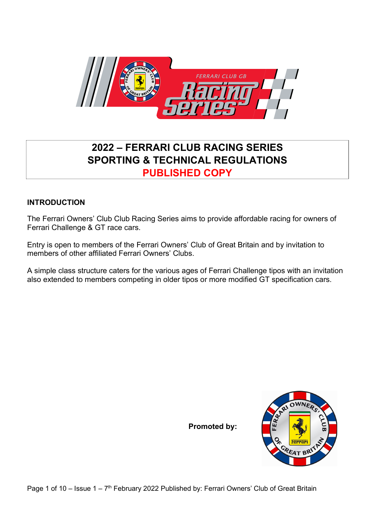

# 2022 – FERRARI CLUB RACING SERIES SPORTING & TECHNICAL REGULATIONS PUBLISHED COPY

## INTRODUCTION

The Ferrari Owners' Club Club Racing Series aims to provide affordable racing for owners of Ferrari Challenge & GT race cars.

Entry is open to members of the Ferrari Owners' Club of Great Britain and by invitation to members of other affiliated Ferrari Owners' Clubs.

A simple class structure caters for the various ages of Ferrari Challenge tipos with an invitation also extended to members competing in older tipos or more modified GT specification cars.

Promoted by:



Page 1 of 10 – Issue 1 – 7<sup>th</sup> February 2022 Published by: Ferrari Owners' Club of Great Britain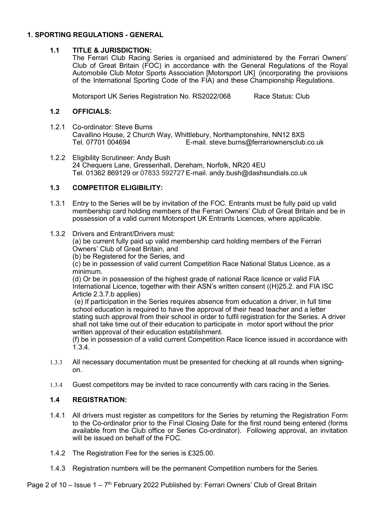## 1. SPORTING REGULATIONS - GENERAL

## 1.1 TITLE & JURISDICTION:

The Ferrari Club Racing Series is organised and administered by the Ferrari Owners' Club of Great Britain (FOC) in accordance with the General Regulations of the Royal Automobile Club Motor Sports Association [Motorsport UK] (incorporating the provisions of the International Sporting Code of the FIA) and these Championship Regulations.

Motorsport UK Series Registration No. RS2022/068 Race Status: Club

## 1.2 OFFICIALS:

- 1.2.1 Co-ordinator: Steve Burns Cavallino House, 2 Church Way, Whittlebury, Northamptonshire, NN12 8XS<br>Tel. 07701 004694 E-mail. steve.burns@ferrariownersclub E-mail. steve.burns@ferrariownersclub.co.uk
- 1.2.2 Eligibility Scrutineer: Andy Bush 24 Chequers Lane, Gressenhall, Dereham, Norfolk, NR20 4EU Tel. 01362 869129 or 07833 592727 E-mail. andy.bush@dashsundials.co.uk

## 1.3 COMPETITOR ELIGIBILITY:

- 1.3.1 Entry to the Series will be by invitation of the FOC. Entrants must be fully paid up valid membership card holding members of the Ferrari Owners' Club of Great Britain and be in possession of a valid current Motorsport UK Entrants Licences, where applicable.
- 1.3.2 Drivers and Entrant/Drivers must:

(a) be current fully paid up valid membership card holding members of the Ferrari Owners' Club of Great Britain, and

(b) be Registered for the Series, and

(c) be in possession of valid current Competition Race National Status Licence, as a minimum.

(d) Or be in possession of the highest grade of national Race licence or valid FIA International Licence, together with their ASN's written consent ((H)25.2. and FIA ISC Article 2.3.7.b applies)

 (e) If participation in the Series requires absence from education a driver, in full time school education is required to have the approval of their head teacher and a letter stating such approval from their school in order to fulfil registration for the Series. A driver shall not take time out of their education to participate in motor sport without the prior written approval of their education establishment.

(f) be in possession of a valid current Competition Race licence issued in accordance with 1.3.4.

- 1.3.3 All necessary documentation must be presented for checking at all rounds when signingon.
- 1.3.4 Guest competitors may be invited to race concurrently with cars racing in the Series.

## 1.4 REGISTRATION:

- 1.4.1 All drivers must register as competitors for the Series by returning the Registration Form to the Co-ordinator prior to the Final Closing Date for the first round being entered (forms available from the Club office or Series Co-ordinator). Following approval, an invitation will be issued on behalf of the FOC.
- 1.4.2 The Registration Fee for the series is £325.00.
- 1.4.3 Registration numbers will be the permanent Competition numbers for the Series.

Page 2 of 10 – Issue  $1 - 7$ <sup>th</sup> February 2022 Published by: Ferrari Owners' Club of Great Britain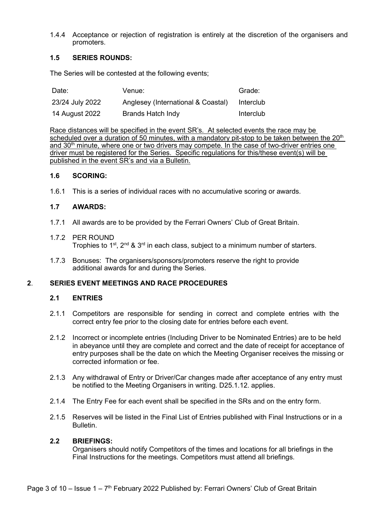1.4.4 Acceptance or rejection of registration is entirely at the discretion of the organisers and promoters.

## 1.5 SERIES ROUNDS:

The Series will be contested at the following events;

| Date:           | Venue:                             | Grade:    |
|-----------------|------------------------------------|-----------|
| 23/24 July 2022 | Anglesey (International & Coastal) | Interclub |
| 14 August 2022  | <b>Brands Hatch Indy</b>           | Interclub |

Race distances will be specified in the event SR's. At selected events the race may be scheduled over a duration of 50 minutes, with a mandatory pit-stop to be taken between the  $20<sup>th</sup>$ and 30<sup>th</sup> minute, where one or two drivers may compete. In the case of two-driver entries one driver must be registered for the Series. Specific regulations for this/these event(s) will be published in the event SR's and via a Bulletin.

#### 1.6 SCORING:

1.6.1 This is a series of individual races with no accumulative scoring or awards.

## 1.7 AWARDS:

- 1.7.1 All awards are to be provided by the Ferrari Owners' Club of Great Britain.
- 1.7.2 PER ROUND Trophies to  $1^{st}$ ,  $2^{nd}$  &  $3^{rd}$  in each class, subject to a minimum number of starters.
- 1.7.3 Bonuses: The organisers/sponsors/promoters reserve the right to provide additional awards for and during the Series.

## 2. SERIES EVENT MEETINGS AND RACE PROCEDURES

## 2.1 ENTRIES

- 2.1.1 Competitors are responsible for sending in correct and complete entries with the correct entry fee prior to the closing date for entries before each event.
- 2.1.2 Incorrect or incomplete entries (Including Driver to be Nominated Entries) are to be held in abeyance until they are complete and correct and the date of receipt for acceptance of entry purposes shall be the date on which the Meeting Organiser receives the missing or corrected information or fee.
- 2.1.3 Any withdrawal of Entry or Driver/Car changes made after acceptance of any entry must be notified to the Meeting Organisers in writing. D25.1.12. applies.
- 2.1.4 The Entry Fee for each event shall be specified in the SRs and on the entry form.
- 2.1.5 Reserves will be listed in the Final List of Entries published with Final Instructions or in a Bulletin.

#### 2.2 BRIEFINGS:

Organisers should notify Competitors of the times and locations for all briefings in the Final Instructions for the meetings. Competitors must attend all briefings.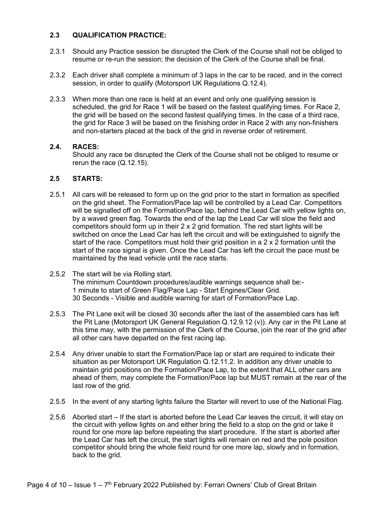## 2.3 QUALIFICATION PRACTICE:

- 2.3.1 Should any Practice session be disrupted the Clerk of the Course shall not be obliged to resume or re-run the session; the decision of the Clerk of the Course shall be final.
- 2.3.2 Each driver shall complete a minimum of 3 laps in the car to be raced, and in the correct session, in order to qualify (Motorsport UK Regulations Q.12.4).
- 2.3.3 When more than one race is held at an event and only one qualifying session is scheduled, the grid for Race 1 will be based on the fastest qualifying times. For Race 2, the grid will be based on the second fastest qualifying times. In the case of a third race, the grid for Race 3 will be based on the finishing order in Race 2 with any non-finishers and non-starters placed at the back of the grid in reverse order of retirement.

## 2.4. RACES:

Should any race be disrupted the Clerk of the Course shall not be obliged to resume or rerun the race (Q.12.15).

## 2.5 STARTS:

- 2.5.1 All cars will be released to form up on the grid prior to the start in formation as specified on the grid sheet. The Formation/Pace lap will be controlled by a Lead Car. Competitors will be signalled off on the Formation/Pace lap, behind the Lead Car with yellow lights on, by a waved green flag. Towards the end of the lap the Lead Car will slow the field and competitors should form up in their 2 x 2 grid formation. The red start lights will be switched on once the Lead Car has left the circuit and will be extinguished to signify the start of the race. Competitors must hold their grid position in a 2 x 2 formation until the start of the race signal is given. Once the Lead Car has left the circuit the pace must be maintained by the lead vehicle until the race starts.
- 2.5.2 The start will be via Rolling start. The minimum Countdown procedures/audible warnings sequence shall be:- 1 minute to start of Green Flag/Pace Lap - Start Engines/Clear Grid. 30 Seconds - Visible and audible warning for start of Formation/Pace Lap.
- 2.5.3 The Pit Lane exit will be closed 30 seconds after the last of the assembled cars has left the Pit Lane (Motorsport UK General Regulation Q.12.9.12 (v)). Any car in the Pit Lane at this time may, with the permission of the Clerk of the Course, join the rear of the grid after all other cars have departed on the first racing lap.
- 2.5.4 Any driver unable to start the Formation/Pace lap or start are required to indicate their situation as per Motorsport UK Regulation Q.12.11.2. In addition any driver unable to maintain grid positions on the Formation/Pace Lap, to the extent that ALL other cars are ahead of them, may complete the Formation/Pace lap but MUST remain at the rear of the last row of the grid.
- 2.5.5 In the event of any starting lights failure the Starter will revert to use of the National Flag.
- 2.5.6 Aborted start If the start is aborted before the Lead Car leaves the circuit, it will stay on the circuit with yellow lights on and either bring the field to a stop on the grid or take it round for one more lap before repeating the start procedure. If the start is aborted after the Lead Car has left the circuit, the start lights will remain on red and the pole position competitor should bring the whole field round for one more lap, slowly and in formation, back to the grid.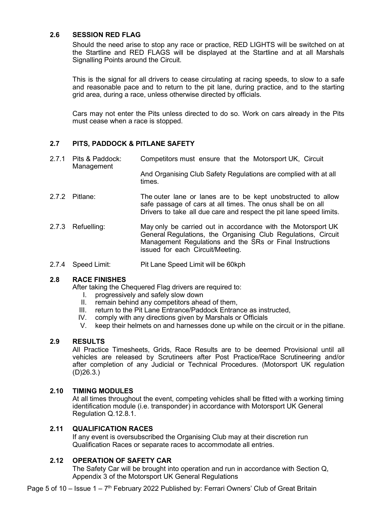## 2.6 SESSION RED FLAG

Should the need arise to stop any race or practice, RED LIGHTS will be switched on at the Startline and RED FLAGS will be displayed at the Startline and at all Marshals Signalling Points around the Circuit.

This is the signal for all drivers to cease circulating at racing speeds, to slow to a safe and reasonable pace and to return to the pit lane, during practice, and to the starting grid area, during a race, unless otherwise directed by officials.

Cars may not enter the Pits unless directed to do so. Work on cars already in the Pits must cease when a race is stopped.

## 2.7 PITS, PADDOCK & PITLANE SAFETY

- 2.7.1 Pits & Paddock: Competitors must ensure that the Motorsport UK, Circuit Management And Organising Club Safety Regulations are complied with at all
- 2.7.2 Pitlane: The outer lane or lanes are to be kept unobstructed to allow safe passage of cars at all times. The onus shall be on all Drivers to take all due care and respect the pit lane speed limits.
- 2.7.3 Refuelling: May only be carried out in accordance with the Motorsport UK General Regulations, the Organising Club Regulations, Circuit Management Regulations and the SRs or Final Instructions issued for each Circuit/Meeting.
- 2.7.4 Speed Limit: Pit Lane Speed Limit will be 60kph

times.

## 2.8 RACE FINISHES

After taking the Chequered Flag drivers are required to:

- I. progressively and safely slow down
- II. remain behind any competitors ahead of them,
- III. return to the Pit Lane Entrance/Paddock Entrance as instructed,
- IV. comply with any directions given by Marshals or Officials
- V. keep their helmets on and harnesses done up while on the circuit or in the pitlane.

## 2.9 RESULTS

All Practice Timesheets, Grids, Race Results are to be deemed Provisional until all vehicles are released by Scrutineers after Post Practice/Race Scrutineering and/or after completion of any Judicial or Technical Procedures. (Motorsport UK regulation (D)26.3.)

#### 2.10 TIMING MODULES

At all times throughout the event, competing vehicles shall be fitted with a working timing identification module (i.e. transponder) in accordance with Motorsport UK General Regulation Q.12.8.1.

## 2.11 QUALIFICATION RACES

If any event is oversubscribed the Organising Club may at their discretion run Qualification Races or separate races to accommodate all entries.

## 2.12 OPERATION OF SAFETY CAR

The Safety Car will be brought into operation and run in accordance with Section Q, Appendix 3 of the Motorsport UK General Regulations

Page 5 of 10 – Issue  $1 - 7$ <sup>th</sup> February 2022 Published by: Ferrari Owners' Club of Great Britain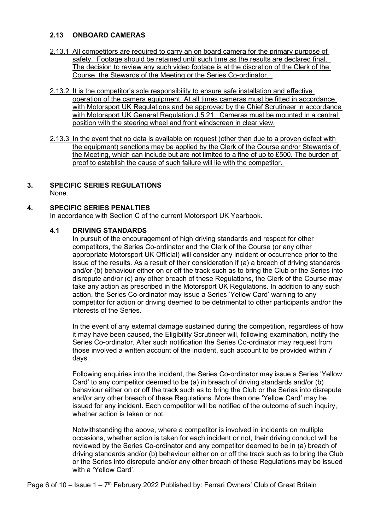## 2.13 ONBOARD CAMERAS

- 2.13.1 All competitors are required to carry an on board camera for the primary purpose of safety. Footage should be retained until such time as the results are declared final. The decision to review any such video footage is at the discretion of the Clerk of the Course, the Stewards of the Meeting or the Series Co-ordinator.
- 2.13.2 It is the competitor's sole responsibility to ensure safe installation and effective operation of the camera equipment. At all times cameras must be fitted in accordance with Motorsport UK Regulations and be approved by the Chief Scrutineer in accordance with Motorsport UK General Regulation J.5.21. Cameras must be mounted in a central position with the steering wheel and front windscreen in clear view.
- 2.13.3 In the event that no data is available on request (other than due to a proven defect with the equipment) sanctions may be applied by the Clerk of the Course and/or Stewards of the Meeting, which can include but are not limited to a fine of up to £500. The burden of proof to establish the cause of such failure will lie with the competitor.
- 3. SPECIFIC SERIES REGULATIONS None.

## 4. SPECIFIC SERIES PENALTIES

In accordance with Section C of the current Motorsport UK Yearbook.

## 4.1 DRIVING STANDARDS

In pursuit of the encouragement of high driving standards and respect for other competitors, the Series Co-ordinator and the Clerk of the Course (or any other appropriate Motorsport UK Official) will consider any incident or occurrence prior to the issue of the results. As a result of their consideration if (a) a breach of driving standards and/or (b) behaviour either on or off the track such as to bring the Club or the Series into disrepute and/or (c) any other breach of these Regulations, the Clerk of the Course may take any action as prescribed in the Motorsport UK Regulations. In addition to any such action, the Series Co-ordinator may issue a Series 'Yellow Card' warning to any competitor for action or driving deemed to be detrimental to other participants and/or the interests of the Series.

In the event of any external damage sustained during the competition, regardless of how it may have been caused, the Eligibility Scrutineer will, following examination, notify the Series Co-ordinator. After such notification the Series Co-ordinator may request from those involved a written account of the incident, such account to be provided within 7 days.

Following enquiries into the incident, the Series Co-ordinator may issue a Series 'Yellow Card' to any competitor deemed to be (a) in breach of driving standards and/or (b) behaviour either on or off the track such as to bring the Club or the Series into disrepute and/or any other breach of these Regulations. More than one 'Yellow Card' may be issued for any incident. Each competitor will be notified of the outcome of such inquiry, whether action is taken or not.

Notwithstanding the above, where a competitor is involved in incidents on multiple occasions, whether action is taken for each incident or not, their driving conduct will be reviewed by the Series Co-ordinator and any competitor deemed to be in (a) breach of driving standards and/or (b) behaviour either on or off the track such as to bring the Club or the Series into disrepute and/or any other breach of these Regulations may be issued with a 'Yellow Card'.

Page 6 of 10 – Issue  $1 - 7$ <sup>th</sup> February 2022 Published by: Ferrari Owners' Club of Great Britain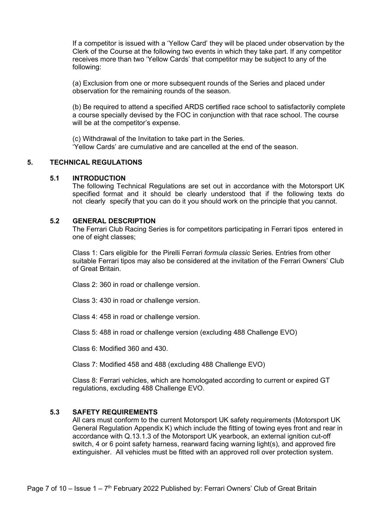If a competitor is issued with a 'Yellow Card' they will be placed under observation by the Clerk of the Course at the following two events in which they take part. If any competitor receives more than two 'Yellow Cards' that competitor may be subject to any of the following:

(a) Exclusion from one or more subsequent rounds of the Series and placed under observation for the remaining rounds of the season.

(b) Be required to attend a specified ARDS certified race school to satisfactorily complete a course specially devised by the FOC in conjunction with that race school. The course will be at the competitor's expense.

(c) Withdrawal of the Invitation to take part in the Series. 'Yellow Cards' are cumulative and are cancelled at the end of the season.

## 5. TECHNICAL REGULATIONS

#### 5.1 INTRODUCTION

The following Technical Regulations are set out in accordance with the Motorsport UK specified format and it should be clearly understood that if the following texts do not clearly specify that you can do it you should work on the principle that you cannot.

#### 5.2 GENERAL DESCRIPTION

The Ferrari Club Racing Series is for competitors participating in Ferrari tipos entered in one of eight classes;

Class 1: Cars eligible for the Pirelli Ferrari formula classic Series. Entries from other suitable Ferrari tipos may also be considered at the invitation of the Ferrari Owners' Club of Great Britain.

Class 2: 360 in road or challenge version.

Class 3: 430 in road or challenge version.

Class 4: 458 in road or challenge version.

Class 5: 488 in road or challenge version (excluding 488 Challenge EVO)

Class 6: Modified 360 and 430.

Class 7: Modified 458 and 488 (excluding 488 Challenge EVO)

Class 8: Ferrari vehicles, which are homologated according to current or expired GT regulations, excluding 488 Challenge EVO.

## 5.3 SAFETY REQUIREMENTS

 All cars must conform to the current Motorsport UK safety requirements (Motorsport UK General Regulation Appendix K) which include the fitting of towing eyes front and rear in accordance with Q.13.1.3 of the Motorsport UK yearbook, an external ignition cut-off switch, 4 or 6 point safety harness, rearward facing warning light(s), and approved fire extinguisher. All vehicles must be fitted with an approved roll over protection system.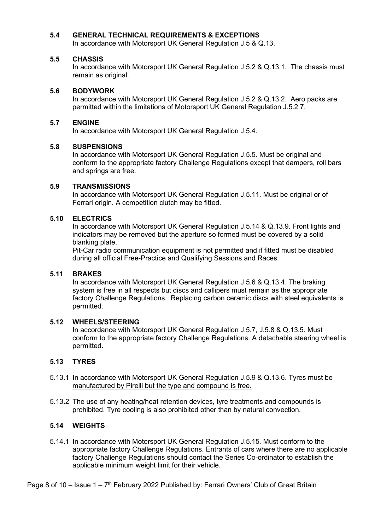## 5.4 GENERAL TECHNICAL REQUIREMENTS & EXCEPTIONS

In accordance with Motorsport UK General Regulation J.5 & Q.13.

#### 5.5 CHASSIS

In accordance with Motorsport UK General Regulation J.5.2 & Q.13.1. The chassis must remain as original.

#### 5.6 BODYWORK

In accordance with Motorsport UK General Regulation J.5.2 & Q.13.2. Aero packs are permitted within the limitations of Motorsport UK General Regulation J.5.2.7.

#### 5.7 ENGINE

In accordance with Motorsport UK General Regulation J.5.4.

#### 5.8 SUSPENSIONS

In accordance with Motorsport UK General Regulation J.5.5. Must be original and conform to the appropriate factory Challenge Regulations except that dampers, roll bars and springs are free.

#### 5.9 TRANSMISSIONS

In accordance with Motorsport UK General Regulation J.5.11. Must be original or of Ferrari origin. A competition clutch may be fitted.

## 5.10 ELECTRICS

In accordance with Motorsport UK General Regulation J.5.14 & Q.13.9. Front lights and indicators may be removed but the aperture so formed must be covered by a solid blanking plate.

Pit-Car radio communication equipment is not permitted and if fitted must be disabled during all official Free-Practice and Qualifying Sessions and Races.

## 5.11 BRAKES

In accordance with Motorsport UK General Regulation J.5.6 & Q.13.4. The braking system is free in all respects but discs and callipers must remain as the appropriate factory Challenge Regulations. Replacing carbon ceramic discs with steel equivalents is permitted.

#### 5.12 WHEELS/STEERING

In accordance with Motorsport UK General Regulation J.5.7, J.5.8 & Q.13.5. Must conform to the appropriate factory Challenge Regulations. A detachable steering wheel is permitted.

## 5.13 TYRES

- 5.13.1 In accordance with Motorsport UK General Regulation J.5.9 & Q.13.6. Tyres must be manufactured by Pirelli but the type and compound is free.
- 5.13.2 The use of any heating/heat retention devices, tyre treatments and compounds is prohibited. Tyre cooling is also prohibited other than by natural convection.

## 5.14 WEIGHTS

5.14.1 In accordance with Motorsport UK General Regulation J.5.15. Must conform to the appropriate factory Challenge Regulations. Entrants of cars where there are no applicable factory Challenge Regulations should contact the Series Co-ordinator to establish the applicable minimum weight limit for their vehicle.

Page 8 of 10 – Issue  $1 - 7$ <sup>th</sup> February 2022 Published by: Ferrari Owners' Club of Great Britain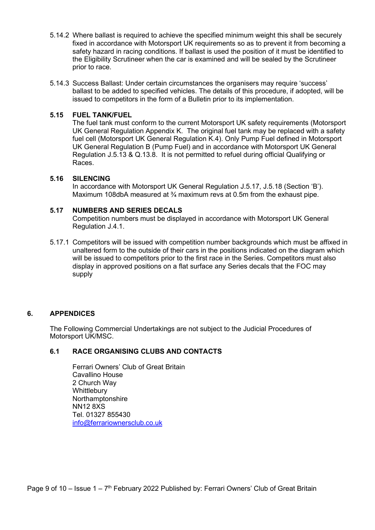- 5.14.2 Where ballast is required to achieve the specified minimum weight this shall be securely fixed in accordance with Motorsport UK requirements so as to prevent it from becoming a safety hazard in racing conditions. If ballast is used the position of it must be identified to the Eligibility Scrutineer when the car is examined and will be sealed by the Scrutineer prior to race.
- 5.14.3 Success Ballast: Under certain circumstances the organisers may require 'success' ballast to be added to specified vehicles. The details of this procedure, if adopted, will be issued to competitors in the form of a Bulletin prior to its implementation.

## 5.15 FUEL TANK/FUEL

The fuel tank must conform to the current Motorsport UK safety requirements (Motorsport UK General Regulation Appendix K. The original fuel tank may be replaced with a safety fuel cell (Motorsport UK General Regulation K.4). Only Pump Fuel defined in Motorsport UK General Regulation B (Pump Fuel) and in accordance with Motorsport UK General Regulation J.5.13 & Q.13.8. It is not permitted to refuel during official Qualifying or Races.

#### 5.16 SILENCING

In accordance with Motorsport UK General Regulation J.5.17, J.5.18 (Section 'B'). Maximum 108dbA measured at  $\frac{3}{4}$  maximum revs at 0.5m from the exhaust pipe.

#### 5.17 NUMBERS AND SERIES DECALS

Competition numbers must be displayed in accordance with Motorsport UK General Regulation J.4.1.

5.17.1 Competitors will be issued with competition number backgrounds which must be affixed in unaltered form to the outside of their cars in the positions indicated on the diagram which will be issued to competitors prior to the first race in the Series. Competitors must also display in approved positions on a flat surface any Series decals that the FOC may supply

## 6. APPENDICES

The Following Commercial Undertakings are not subject to the Judicial Procedures of Motorsport UK/MSC.

## 6.1 RACE ORGANISING CLUBS AND CONTACTS

 Ferrari Owners' Club of Great Britain Cavallino House 2 Church Way **Whittlebury Northamptonshire**  NN12 8XS Tel. 01327 855430 info@ferrariownersclub.co.uk